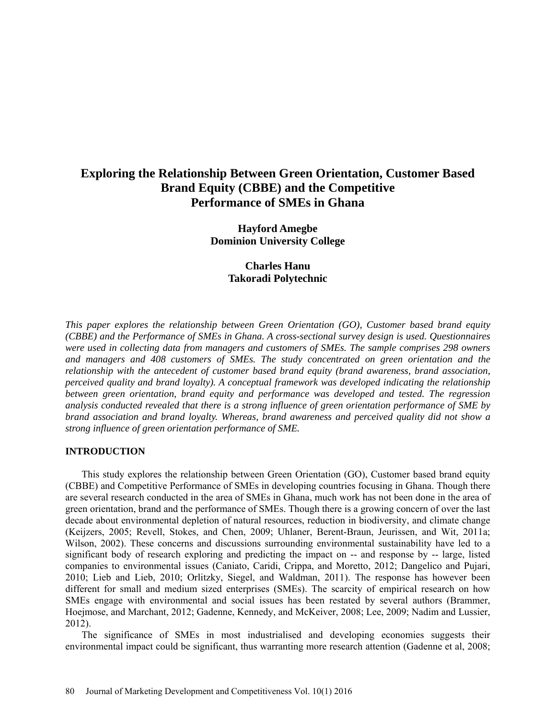# **Exploring the Relationship Between Green Orientation, Customer Based Brand Equity (CBBE) and the Competitive Performance of SMEs in Ghana**

**Hayford Amegbe Dominion University College**

# **Charles Hanu Takoradi Polytechnic**

*This paper explores the relationship between Green Orientation (GO), Customer based brand equity (CBBE) and the Performance of SMEs in Ghana. A cross-sectional survey design is used. Questionnaires were used in collecting data from managers and customers of SMEs. The sample comprises 298 owners and managers and 408 customers of SMEs. The study concentrated on green orientation and the relationship with the antecedent of customer based brand equity (brand awareness, brand association, perceived quality and brand loyalty). A conceptual framework was developed indicating the relationship between green orientation, brand equity and performance was developed and tested. The regression analysis conducted revealed that there is a strong influence of green orientation performance of SME by brand association and brand loyalty. Whereas, brand awareness and perceived quality did not show a strong influence of green orientation performance of SME.* 

### **INTRODUCTION**

This study explores the relationship between Green Orientation (GO), Customer based brand equity (CBBE) and Competitive Performance of SMEs in developing countries focusing in Ghana. Though there are several research conducted in the area of SMEs in Ghana, much work has not been done in the area of green orientation, brand and the performance of SMEs. Though there is a growing concern of over the last decade about environmental depletion of natural resources, reduction in biodiversity, and climate change (Keijzers, 2005; Revell, Stokes, and Chen, 2009; Uhlaner, Berent-Braun, Jeurissen, and Wit, 2011a; Wilson, 2002). These concerns and discussions surrounding environmental sustainability have led to a significant body of research exploring and predicting the impact on -- and response by -- large, listed companies to environmental issues (Caniato, Caridi, Crippa, and Moretto, 2012; Dangelico and Pujari, 2010; Lieb and Lieb, 2010; Orlitzky, Siegel, and Waldman, 2011). The response has however been different for small and medium sized enterprises (SMEs). The scarcity of empirical research on how SMEs engage with environmental and social issues has been restated by several authors (Brammer, Hoejmose, and Marchant, 2012; Gadenne, Kennedy, and McKeiver, 2008; Lee, 2009; Nadim and Lussier, 2012).

The significance of SMEs in most industrialised and developing economies suggests their environmental impact could be significant, thus warranting more research attention (Gadenne et al, 2008;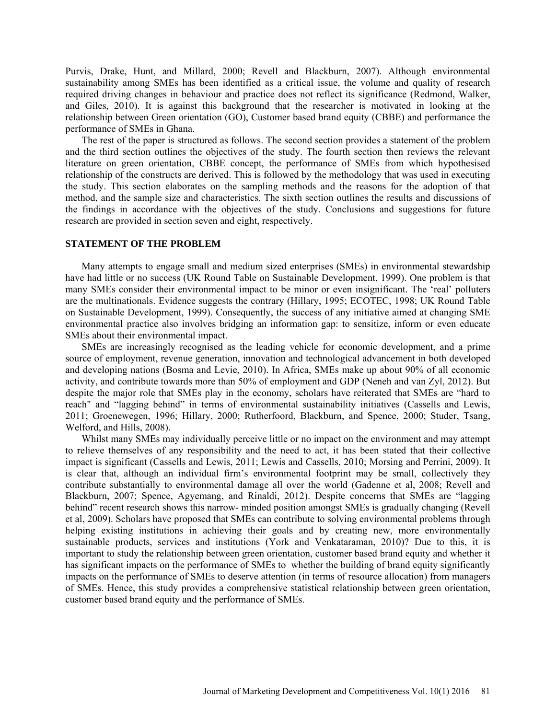Purvis, Drake, Hunt, and Millard, 2000; Revell and Blackburn, 2007). Although environmental sustainability among SMEs has been identified as a critical issue, the volume and quality of research required driving changes in behaviour and practice does not reflect its significance (Redmond, Walker, and Giles, 2010). It is against this background that the researcher is motivated in looking at the relationship between Green orientation (GO), Customer based brand equity (CBBE) and performance the performance of SMEs in Ghana.

The rest of the paper is structured as follows. The second section provides a statement of the problem and the third section outlines the objectives of the study. The fourth section then reviews the relevant literature on green orientation, CBBE concept, the performance of SMEs from which hypothesised relationship of the constructs are derived. This is followed by the methodology that was used in executing the study. This section elaborates on the sampling methods and the reasons for the adoption of that method, and the sample size and characteristics. The sixth section outlines the results and discussions of the findings in accordance with the objectives of the study. Conclusions and suggestions for future research are provided in section seven and eight, respectively.

#### **STATEMENT OF THE PROBLEM**

Many attempts to engage small and medium sized enterprises (SMEs) in environmental stewardship have had little or no success (UK Round Table on Sustainable Development, 1999). One problem is that many SMEs consider their environmental impact to be minor or even insignificant. The 'real' polluters are the multinationals. Evidence suggests the contrary (Hillary, 1995; ECOTEC, 1998; UK Round Table on Sustainable Development, 1999). Consequently, the success of any initiative aimed at changing SME environmental practice also involves bridging an information gap: to sensitize, inform or even educate SMEs about their environmental impact.

SMEs are increasingly recognised as the leading vehicle for economic development, and a prime source of employment, revenue generation, innovation and technological advancement in both developed and developing nations (Bosma and Levie, 2010). In Africa, SMEs make up about 90% of all economic activity, and contribute towards more than 50% of employment and GDP (Neneh and van Zyl, 2012). But despite the major role that SMEs play in the economy, scholars have reiterated that SMEs are "hard to reach" and "lagging behind" in terms of environmental sustainability initiatives (Cassells and Lewis, 2011; Groenewegen, 1996; Hillary, 2000; Rutherfoord, Blackburn, and Spence, 2000; Studer, Tsang, Welford, and Hills, 2008).

Whilst many SMEs may individually perceive little or no impact on the environment and may attempt to relieve themselves of any responsibility and the need to act, it has been stated that their collective impact is significant (Cassells and Lewis, 2011; Lewis and Cassells, 2010; Morsing and Perrini, 2009). It is clear that, although an individual firm's environmental footprint may be small, collectively they contribute substantially to environmental damage all over the world (Gadenne et al, 2008; Revell and Blackburn, 2007; Spence, Agyemang, and Rinaldi, 2012). Despite concerns that SMEs are "lagging behind" recent research shows this narrow- minded position amongst SMEs is gradually changing (Revell et al, 2009). Scholars have proposed that SMEs can contribute to solving environmental problems through helping existing institutions in achieving their goals and by creating new, more environmentally sustainable products, services and institutions (York and Venkataraman, 2010)? Due to this, it is important to study the relationship between green orientation, customer based brand equity and whether it has significant impacts on the performance of SMEs to whether the building of brand equity significantly impacts on the performance of SMEs to deserve attention (in terms of resource allocation) from managers of SMEs. Hence, this study provides a comprehensive statistical relationship between green orientation, customer based brand equity and the performance of SMEs.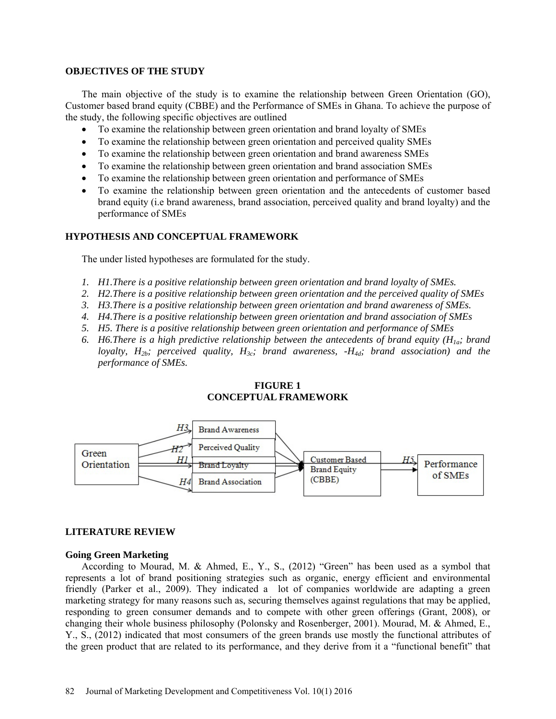#### **OBJECTIVES OF THE STUDY**

The main objective of the study is to examine the relationship between Green Orientation (GO), Customer based brand equity (CBBE) and the Performance of SMEs in Ghana. To achieve the purpose of the study, the following specific objectives are outlined

- To examine the relationship between green orientation and brand loyalty of SMEs
- To examine the relationship between green orientation and perceived quality SMEs
- To examine the relationship between green orientation and brand awareness SMEs
- To examine the relationship between green orientation and brand association SMEs
- To examine the relationship between green orientation and performance of SMEs
- To examine the relationship between green orientation and the antecedents of customer based brand equity (i.e brand awareness, brand association, perceived quality and brand loyalty) and the performance of SMEs

### **HYPOTHESIS AND CONCEPTUAL FRAMEWORK**

The under listed hypotheses are formulated for the study.

- *1. H1.There is a positive relationship between green orientation and brand loyalty of SMEs.*
- *2. H2.There is a positive relationship between green orientation and the perceived quality of SMEs*
- *3. H3.There is a positive relationship between green orientation and brand awareness of SMEs.*
- *4. H4.There is a positive relationship between green orientation and brand association of SMEs*
- *5. H5. There is a positive relationship between green orientation and performance of SMEs*
- 6. *H6.There is a high predictive relationship between the antecedents of brand equity (* $H_{1a}$ *; brand loyalty, H<sub>2b</sub>; perceived quality, H<sub>3c</sub>; brand awareness, -H<sub>4d</sub>; brand association) and the performance of SMEs.*

# **FIGURE 1 CONCEPTUAL FRAMEWORK**



### **LITERATURE REVIEW**

#### **Going Green Marketing**

According to Mourad, M. & Ahmed, E., Y., S., (2012) "Green" has been used as a symbol that represents a lot of brand positioning strategies such as organic, energy efficient and environmental friendly (Parker et al., 2009). They indicated a lot of companies worldwide are adapting a green marketing strategy for many reasons such as, securing themselves against regulations that may be applied, responding to green consumer demands and to compete with other green offerings (Grant, 2008), or changing their whole business philosophy (Polonsky and Rosenberger, 2001). Mourad, M. & Ahmed, E., Y., S., (2012) indicated that most consumers of the green brands use mostly the functional attributes of the green product that are related to its performance, and they derive from it a "functional benefit" that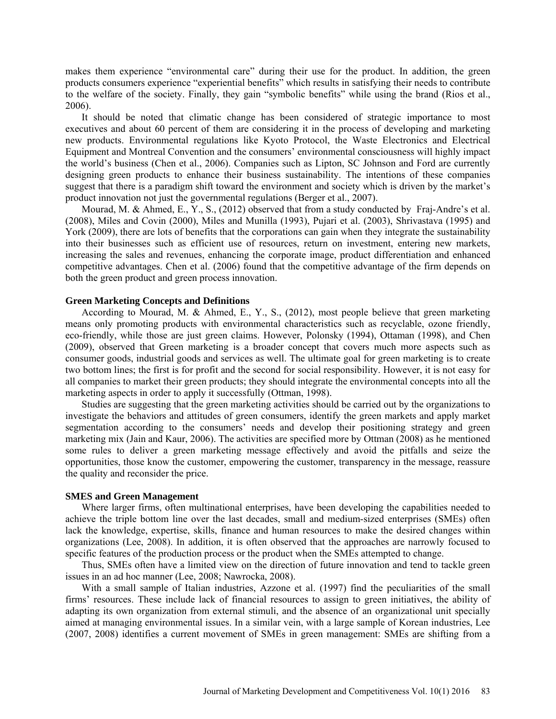makes them experience "environmental care" during their use for the product. In addition, the green products consumers experience "experiential benefits" which results in satisfying their needs to contribute to the welfare of the society. Finally, they gain "symbolic benefits" while using the brand (Rios et al., 2006).

It should be noted that climatic change has been considered of strategic importance to most executives and about 60 percent of them are considering it in the process of developing and marketing new products. Environmental regulations like Kyoto Protocol, the Waste Electronics and Electrical Equipment and Montreal Convention and the consumers' environmental consciousness will highly impact the world's business (Chen et al., 2006). Companies such as Lipton, SC Johnson and Ford are currently designing green products to enhance their business sustainability. The intentions of these companies suggest that there is a paradigm shift toward the environment and society which is driven by the market's product innovation not just the governmental regulations (Berger et al., 2007).

Mourad, M. & Ahmed, E., Y., S., (2012) observed that from a study conducted by Fraj-Andre's et al. (2008), Miles and Covin (2000), Miles and Munilla (1993), Pujari et al. (2003), Shrivastava (1995) and York (2009), there are lots of benefits that the corporations can gain when they integrate the sustainability into their businesses such as efficient use of resources, return on investment, entering new markets, increasing the sales and revenues, enhancing the corporate image, product differentiation and enhanced competitive advantages. Chen et al. (2006) found that the competitive advantage of the firm depends on both the green product and green process innovation.

#### **Green Marketing Concepts and Definitions**

According to Mourad, M. & Ahmed, E., Y., S., (2012), most people believe that green marketing means only promoting products with environmental characteristics such as recyclable, ozone friendly, eco-friendly, while those are just green claims. However, Polonsky (1994), Ottaman (1998), and Chen (2009), observed that Green marketing is a broader concept that covers much more aspects such as consumer goods, industrial goods and services as well. The ultimate goal for green marketing is to create two bottom lines; the first is for profit and the second for social responsibility. However, it is not easy for all companies to market their green products; they should integrate the environmental concepts into all the marketing aspects in order to apply it successfully (Ottman, 1998).

Studies are suggesting that the green marketing activities should be carried out by the organizations to investigate the behaviors and attitudes of green consumers, identify the green markets and apply market segmentation according to the consumers' needs and develop their positioning strategy and green marketing mix (Jain and Kaur, 2006). The activities are specified more by Ottman (2008) as he mentioned some rules to deliver a green marketing message effectively and avoid the pitfalls and seize the opportunities, those know the customer, empowering the customer, transparency in the message, reassure the quality and reconsider the price.

#### **SMES and Green Management**

Where larger firms, often multinational enterprises, have been developing the capabilities needed to achieve the triple bottom line over the last decades, small and medium-sized enterprises (SMEs) often lack the knowledge, expertise, skills, finance and human resources to make the desired changes within organizations (Lee, 2008). In addition, it is often observed that the approaches are narrowly focused to specific features of the production process or the product when the SMEs attempted to change.

Thus, SMEs often have a limited view on the direction of future innovation and tend to tackle green issues in an ad hoc manner (Lee, 2008; Nawrocka, 2008).

With a small sample of Italian industries, Azzone et al. (1997) find the peculiarities of the small firms' resources. These include lack of financial resources to assign to green initiatives, the ability of adapting its own organization from external stimuli, and the absence of an organizational unit specially aimed at managing environmental issues. In a similar vein, with a large sample of Korean industries, Lee (2007, 2008) identifies a current movement of SMEs in green management: SMEs are shifting from a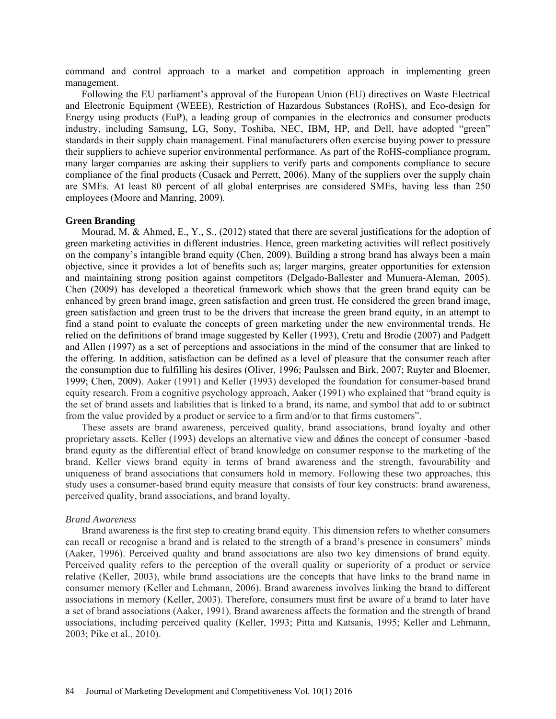command and control approach to a market and competition approach in implementing green management.

Following the EU parliament's approval of the European Union (EU) directives on Waste Electrical and Electronic Equipment (WEEE), Restriction of Hazardous Substances (RoHS), and Eco-design for Energy using products (EuP), a leading group of companies in the electronics and consumer products industry, including Samsung, LG, Sony, Toshiba, NEC, IBM, HP, and Dell, have adopted "green" standards in their supply chain management. Final manufacturers often exercise buying power to pressure their suppliers to achieve superior environmental performance. As part of the RoHS-compliance program, many larger companies are asking their suppliers to verify parts and components compliance to secure compliance of the final products (Cusack and Perrett, 2006). Many of the suppliers over the supply chain are SMEs. At least 80 percent of all global enterprises are considered SMEs, having less than 250 employees (Moore and Manring, 2009).

#### **Green Branding**

Mourad, M. & Ahmed, E., Y., S., (2012) stated that there are several justifications for the adoption of green marketing activities in different industries. Hence, green marketing activities will reflect positively on the company's intangible brand equity (Chen, 2009). Building a strong brand has always been a main objective, since it provides a lot of benefits such as; larger margins, greater opportunities for extension and maintaining strong position against competitors (Delgado-Ballester and Munuera-Aleman, 2005). Chen (2009) has developed a theoretical framework which shows that the green brand equity can be enhanced by green brand image, green satisfaction and green trust. He considered the green brand image, green satisfaction and green trust to be the drivers that increase the green brand equity, in an attempt to find a stand point to evaluate the concepts of green marketing under the new environmental trends. He relied on the definitions of brand image suggested by Keller (1993), Cretu and Brodie (2007) and Padgett and Allen (1997) as a set of perceptions and associations in the mind of the consumer that are linked to the offering. In addition, satisfaction can be defined as a level of pleasure that the consumer reach after the consumption due to fulfilling his desires (Oliver, 1996; Paulssen and Birk, 2007; Ruyter and Bloemer, 1999; Chen, 2009). Aaker (1991) and Keller (1993) developed the foundation for consumer-based brand equity research. From a cognitive psychology approach, Aaker (1991) who explained that "brand equity is the set of brand assets and liabilities that is linked to a brand, its name, and symbol that add to or subtract from the value provided by a product or service to a firm and/or to that firms customers".

These assets are brand awareness, perceived quality, brand associations, brand loyalty and other proprietary assets. Keller (1993) develops an alternative view and defines the concept of consumer -based brand equity as the differential effect of brand knowledge on consumer response to the marketing of the brand. Keller views brand equity in terms of brand awareness and the strength, favourability and uniqueness of brand associations that consumers hold in memory. Following these two approaches, this study uses a consumer-based brand equity measure that consists of four key constructs: brand awareness, perceived quality, brand associations, and brand loyalty.

#### *Brand Awareness*

Brand awareness is the first step to creating brand equity. This dimension refers to whether consumers can recall or recognise a brand and is related to the strength of a brand's presence in consumers' minds (Aaker, 1996). Perceived quality and brand associations are also two key dimensions of brand equity. Perceived quality refers to the perception of the overall quality or superiority of a product or service relative (Keller, 2003), while brand associations are the concepts that have links to the brand name in consumer memory (Keller and Lehmann, 2006). Brand awareness involves linking the brand to different associations in memory (Keller, 2003). Therefore, consumers must first be aware of a brand to later have a set of brand associations (Aaker, 1991). Brand awareness affects the formation and the strength of brand associations, including perceived quality (Keller, 1993; Pitta and Katsanis, 1995; Keller and Lehmann, 2003; Pike et al., 2010).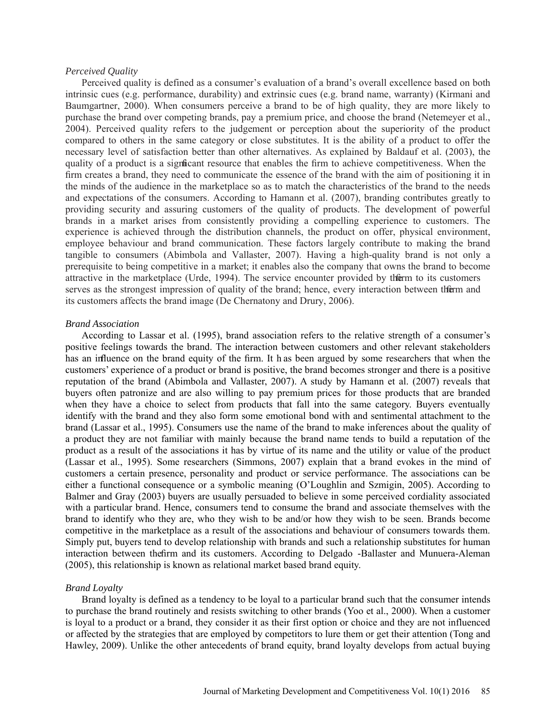#### *Perceived Quality*

Perceived quality is defined as a consumer's evaluation of a brand's overall excellence based on both intrinsic cues (e.g. performance, durability) and extrinsic cues (e.g. brand name, warranty) (Kirmani and Baumgartner, 2000). When consumers perceive a brand to be of high quality, they are more likely to purchase the brand over competing brands, pay a premium price, and choose the brand (Netemeyer et al., 2004). Perceived quality refers to the judgement or perception about the superiority of the product compared to others in the same category or close substitutes. It is the ability of a product to offer the necessary level of satisfaction better than other alternatives. As explained by Baldauf et al. (2003), the quality of a product is a significant resource that enables the firm to achieve competitiveness. When the firm creates a brand, they need to communicate the essence of the brand with the aim of positioning it in the minds of the audience in the marketplace so as to match the characteristics of the brand to the needs and expectations of the consumers. According to Hamann et al. (2007), branding contributes greatly to providing security and assuring customers of the quality of products. The development of powerful brands in a market arises from consistently providing a compelling experience to customers. The experience is achieved through the distribution channels, the product on offer, physical environment, employee behaviour and brand communication. These factors largely contribute to making the brand tangible to consumers (Abimbola and Vallaster, 2007). Having a high-quality brand is not only a prerequisite to being competitive in a market; it enables also the company that owns the brand to become attractive in the marketplace (Urde, 1994). The service encounter provided by the firm to its customers serves as the strongest impression of quality of the brand; hence, every interaction between the firm and its customers affects the brand image (De Chernatony and Drury, 2006).

#### *Brand Association*

According to Lassar et al. (1995), brand association refers to the relative strength of a consumer's positive feelings towards the brand. The interaction between customers and other relevant stakeholders has an influence on the brand equity of the firm. It h as been argued by some researchers that when the customers' experience of a product or brand is positive, the brand becomes stronger and there is a positive reputation of the brand (Abimbola and Vallaster, 2007). A study by Hamann et al. (2007) reveals that buyers often patronize and are also willing to pay premium prices for those products that are branded when they have a choice to select from products that fall into the same category. Buyers eventually identify with the brand and they also form some emotional bond with and sentimental attachment to the brand (Lassar et al., 1995). Consumers use the name of the brand to make inferences about the quality of a product they are not familiar with mainly because the brand name tends to build a reputation of the product as a result of the associations it has by virtue of its name and the utility or value of the product (Lassar et al., 1995). Some researchers (Simmons, 2007) explain that a brand evokes in the mind of customers a certain presence, personality and product or service performance. The associations can be either a functional consequence or a symbolic meaning (O'Loughlin and Szmigin, 2005). According to Balmer and Gray (2003) buyers are usually persuaded to believe in some perceived cordiality associated with a particular brand. Hence, consumers tend to consume the brand and associate themselves with the brand to identify who they are, who they wish to be and/or how they wish to be seen. Brands become competitive in the marketplace as a result of the associations and behaviour of consumers towards them. Simply put, buyers tend to develop relationship with brands and such a relationship substitutes for human interaction between the firm and its customers. According to Delgado -Ballaster and Munuera-Aleman (2005), this relationship is known as relational market based brand equity.

#### *Brand Loyalty*

Brand loyalty is defined as a tendency to be loyal to a particular brand such that the consumer intends to purchase the brand routinely and resists switching to other brands (Yoo et al., 2000). When a customer is loyal to a product or a brand, they consider it as their first option or choice and they are not influenced or affected by the strategies that are employed by competitors to lure them or get their attention (Tong and Hawley, 2009). Unlike the other antecedents of brand equity, brand loyalty develops from actual buying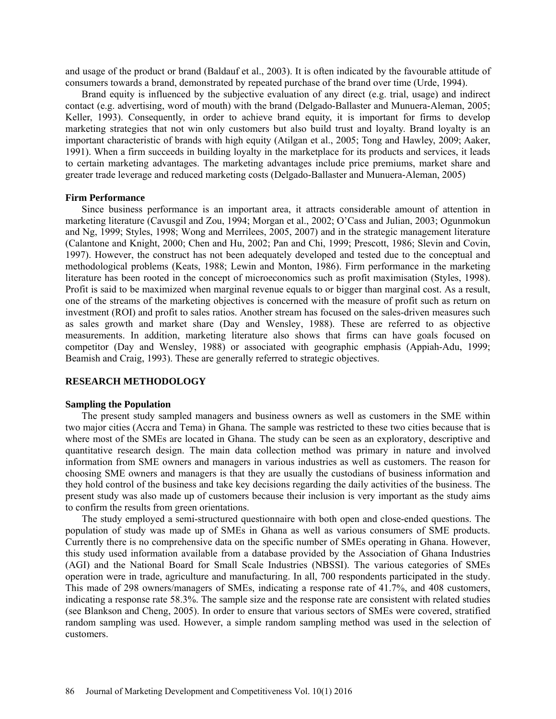and usage of the product or brand (Baldauf et al., 2003). It is often indicated by the favourable attitude of consumers towards a brand, demonstrated by repeated purchase of the brand over time (Urde, 1994).

Brand equity is influenced by the subjective evaluation of any direct (e.g. trial, usage) and indirect contact (e.g. advertising, word of mouth) with the brand (Delgado-Ballaster and Munuera-Aleman, 2005; Keller, 1993). Consequently, in order to achieve brand equity, it is important for firms to develop marketing strategies that not win only customers but also build trust and loyalty. Brand loyalty is an important characteristic of brands with high equity (Atilgan et al., 2005; Tong and Hawley, 2009; Aaker, 1991). When a firm succeeds in building loyalty in the marketplace for its products and services, it leads to certain marketing advantages. The marketing advantages include price premiums, market share and greater trade leverage and reduced marketing costs (Delgado-Ballaster and Munuera-Aleman, 2005)

#### **Firm Performance**

Since business performance is an important area, it attracts considerable amount of attention in marketing literature (Cavusgil and Zou, 1994; Morgan et al., 2002; O'Cass and Julian, 2003; Ogunmokun and Ng, 1999; Styles, 1998; Wong and Merrilees, 2005, 2007) and in the strategic management literature (Calantone and Knight, 2000; Chen and Hu, 2002; Pan and Chi, 1999; Prescott, 1986; Slevin and Covin, 1997). However, the construct has not been adequately developed and tested due to the conceptual and methodological problems (Keats, 1988; Lewin and Monton, 1986). Firm performance in the marketing literature has been rooted in the concept of microeconomics such as profit maximisation (Styles, 1998). Profit is said to be maximized when marginal revenue equals to or bigger than marginal cost. As a result, one of the streams of the marketing objectives is concerned with the measure of profit such as return on investment (ROI) and profit to sales ratios. Another stream has focused on the sales-driven measures such as sales growth and market share (Day and Wensley, 1988). These are referred to as objective measurements. In addition, marketing literature also shows that firms can have goals focused on competitor (Day and Wensley, 1988) or associated with geographic emphasis (Appiah-Adu, 1999; Beamish and Craig, 1993). These are generally referred to strategic objectives.

#### **RESEARCH METHODOLOGY**

#### **Sampling the Population**

The present study sampled managers and business owners as well as customers in the SME within two major cities (Accra and Tema) in Ghana. The sample was restricted to these two cities because that is where most of the SMEs are located in Ghana. The study can be seen as an exploratory, descriptive and quantitative research design. The main data collection method was primary in nature and involved information from SME owners and managers in various industries as well as customers. The reason for choosing SME owners and managers is that they are usually the custodians of business information and they hold control of the business and take key decisions regarding the daily activities of the business. The present study was also made up of customers because their inclusion is very important as the study aims to confirm the results from green orientations.

The study employed a semi-structured questionnaire with both open and close-ended questions. The population of study was made up of SMEs in Ghana as well as various consumers of SME products. Currently there is no comprehensive data on the specific number of SMEs operating in Ghana. However, this study used information available from a database provided by the Association of Ghana Industries (AGI) and the National Board for Small Scale Industries (NBSSI). The various categories of SMEs operation were in trade, agriculture and manufacturing. In all, 700 respondents participated in the study. This made of 298 owners/managers of SMEs, indicating a response rate of 41.7%, and 408 customers, indicating a response rate 58.3%. The sample size and the response rate are consistent with related studies (see Blankson and Cheng, 2005). In order to ensure that various sectors of SMEs were covered, stratified random sampling was used. However, a simple random sampling method was used in the selection of customers.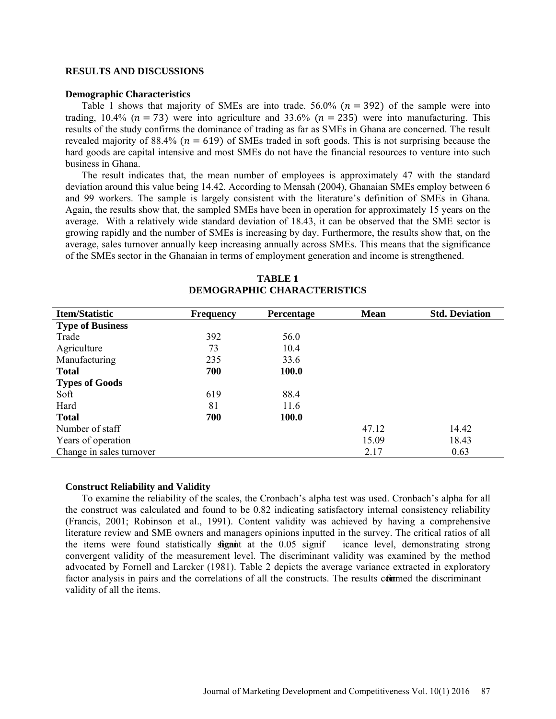#### **RESULTS AND DISCUSSIONS**

#### **Demographic Characteristics**

Table 1 shows that majority of SMEs are into trade. 56.0% ( $n = 392$ ) of the sample were into trading, 10.4% ( $n = 73$ ) were into agriculture and 33.6% ( $n = 235$ ) were into manufacturing. This results of the study confirms the dominance of trading as far as SMEs in Ghana are concerned. The result revealed majority of 88.4% ( $n = 619$ ) of SMEs traded in soft goods. This is not surprising because the hard goods are capital intensive and most SMEs do not have the financial resources to venture into such business in Ghana.

The result indicates that, the mean number of employees is approximately 47 with the standard deviation around this value being 14.42. According to Mensah (2004), Ghanaian SMEs employ between 6 and 99 workers. The sample is largely consistent with the literature's definition of SMEs in Ghana. Again, the results show that, the sampled SMEs have been in operation for approximately 15 years on the average. With a relatively wide standard deviation of 18.43, it can be observed that the SME sector is growing rapidly and the number of SMEs is increasing by day. Furthermore, the results show that, on the average, sales turnover annually keep increasing annually across SMEs. This means that the significance of the SMEs sector in the Ghanaian in terms of employment generation and income is strengthened.

| <b>Item/Statistic</b>    | <b>Frequency</b> | Percentage | <b>Mean</b> | <b>Std. Deviation</b> |
|--------------------------|------------------|------------|-------------|-----------------------|
| <b>Type of Business</b>  |                  |            |             |                       |
| Trade                    | 392              | 56.0       |             |                       |
| Agriculture              | 73               | 10.4       |             |                       |
| Manufacturing            | 235              | 33.6       |             |                       |
| <b>Total</b>             | 700              | 100.0      |             |                       |
| <b>Types of Goods</b>    |                  |            |             |                       |
| Soft                     | 619              | 88.4       |             |                       |
| Hard                     | 81               | 11.6       |             |                       |
| <b>Total</b>             | 700              | 100.0      |             |                       |
| Number of staff          |                  |            | 47.12       | 14.42                 |
| Years of operation       |                  |            | 15.09       | 18.43                 |
| Change in sales turnover |                  |            | 2.17        | 0.63                  |

# **TABLE 1 DEMOGRAPHIC CHARACTERISTICS**

#### **Construct Reliability and Validity**

To examine the reliability of the scales, the Cronbach's alpha test was used. Cronbach's alpha for all the construct was calculated and found to be 0.82 indicating satisfactory internal consistency reliability (Francis, 2001; Robinson et al., 1991). Content validity was achieved by having a comprehensive literature review and SME owners and managers opinions inputted in the survey. The critical ratios of all the items were found statistically significant at the  $0.05$  significance level, demonstrating strong convergent validity of the measurement level. The discriminant validity was examined by the method advocated by Fornell and Larcker (1981). Table 2 depicts the average variance extracted in exploratory factor analysis in pairs and the correlations of all the constructs. The results commed the discriminant validity of all the items.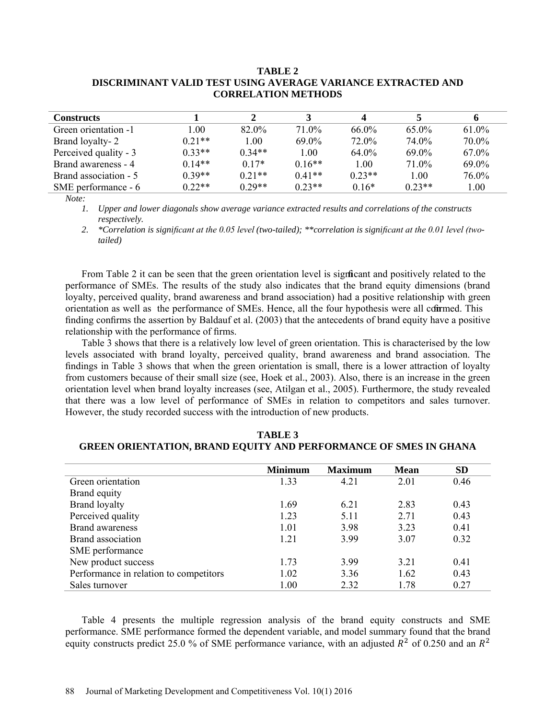### **TABLE 2 DISCRIMINANT VALID TEST USING AVERAGE VARIANCE EXTRACTED AND CORRELATION METHODS**

| <b>Constructs</b>     |          |          |          |          |          | 6        |
|-----------------------|----------|----------|----------|----------|----------|----------|
| Green orientation -1  | 1.00     | 82.0%    | 71.0%    | 66.0%    | $65.0\%$ | $61.0\%$ |
| Brand loyalty-2       | $0.21**$ | 1.00     | 69.0%    | 72.0%    | 74.0%    | 70.0%    |
| Perceived quality - 3 | $0.33**$ | $0.34**$ | 1.00     | 64.0%    | 69.0%    | 67.0%    |
| Brand awareness - 4   | $0.14**$ | $0.17*$  | $0.16**$ | 1.00     | 71 0\%   | 69.0%    |
| Brand association - 5 | $0.39**$ | $0.21**$ | $0.41**$ | $0.23**$ | 1.00     | 76.0%    |
| SME performance - 6   | $0.22**$ | $0.29**$ | $0.23**$ | $0.16*$  | $0.23**$ | 1.00     |

*Note:* 

*1. Upper and lower diagonals show average variance extracted results and correlations of the constructs respectively.*

2. *\*Correlation is significant at the 0.05 level (two-tailed); \*\*correlation is significant at the 0.01 level (twotailed)*

From Table 2 it can be seen that the green orientation level is significant and positively related to the performance of SMEs. The results of the study also indicates that the brand equity dimensions (brand loyalty, perceived quality, brand awareness and brand association) had a positive relationship with green orientation as well as the performance of SMEs. Hence, all the four hypothesis were all compared. This finding confirms the assertion by Baldauf et al. (2003) that the antecedents of brand equity have a positive relationship with the performance of firms.

Table 3 shows that there is a relatively low level of green orientation. This is characterised by the low levels associated with brand loyalty, perceived quality, brand awareness and brand association. The findings in Table 3 shows that when the green orientation is small, there is a lower attraction of loyalty from customers because of their small size (see, Hoek et al., 2003). Also, there is an increase in the green orientation level when brand loyalty increases (see, Atilgan et al., 2005). Furthermore, the study revealed that there was a low level of performance of SMEs in relation to competitors and sales turnover. However, the study recorded success with the introduction of new products.

|                                        | <b>Minimum</b> | <b>Maximum</b> | <b>Mean</b> | <b>SD</b> |
|----------------------------------------|----------------|----------------|-------------|-----------|
| Green orientation                      | 1.33           | 4.21           | 2.01        | 0.46      |
| Brand equity                           |                |                |             |           |
| <b>Brand loyalty</b>                   | 1.69           | 6.21           | 2.83        | 0.43      |
| Perceived quality                      | 1.23           | 5.11           | 2.71        | 0.43      |
| <b>Brand awareness</b>                 | 1.01           | 3.98           | 3.23        | 0.41      |
| Brand association                      | 1.21           | 3.99           | 3.07        | 0.32      |
| SME performance                        |                |                |             |           |
| New product success                    | 1.73           | 3.99           | 3.21        | 0.41      |
| Performance in relation to competitors | 1.02           | 3.36           | 1.62        | 0.43      |
| Sales turnover                         | 1.00           | 2.32           | 1.78        | 0.27      |

**TABLE 3 GREEN ORIENTATION, BRAND EQUITY AND PERFORMANCE OF SMES IN GHANA**

Table 4 presents the multiple regression analysis of the brand equity constructs and SME performance. SME performance formed the dependent variable, and model summary found that the brand equity constructs predict 25.0 % of SME performance variance, with an adjusted  $R^2$  of 0.250 and an  $R^2$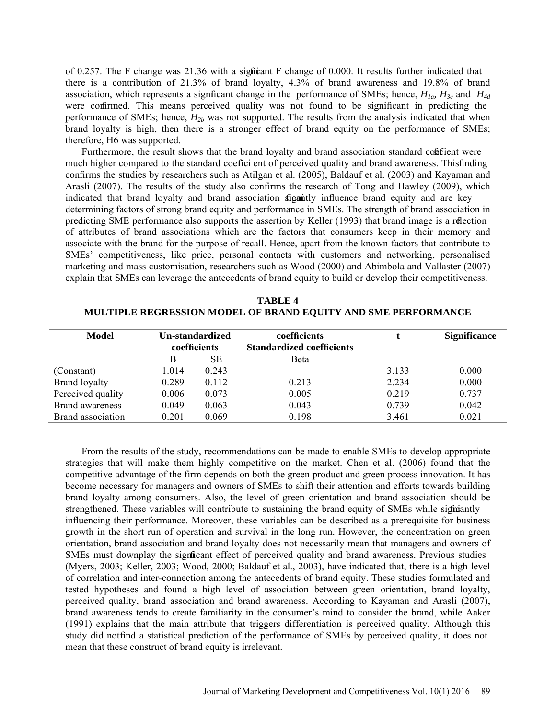of 0.257. The F change was 21.36 with a significant F change of 0.000. It results further indicated that there is a contribution of 21.3% of brand loyalty, 4.3% of brand awareness and 19.8% of brand association, which represents a significant change in the performance of SMEs; hence,  $H_{1a}$ ,  $H_{3c}$  and  $H_{4d}$ were confirmed. This means perceived quality was not found to be significant in predicting the performance of SMEs; hence,  $H_{2b}$  was not supported. The results from the analysis indicated that when brand loyalty is high, then there is a stronger effect of brand equity on the performance of SMEs; therefore, H6 was supported.

Furthermore, the result shows that the brand loyalty and brand association standard coficient were much higher compared to the standard coefici ent of perceived quality and brand awareness. This finding confirms the studies by researchers such as Atilgan et al. (2005), Baldauf et al. (2003) and Kayaman and Arasli (2007). The results of the study also confirms the research of Tong and Hawley (2009), which indicated that brand loyalty and brand association signitly influence brand equity and are key determining factors of strong brand equity and performance in SMEs. The strength of brand association in predicting SME performance also supports the assertion by Keller (1993) that brand image is a reflection of attributes of brand associations which are the factors that consumers keep in their memory and associate with the brand for the purpose of recall. Hence, apart from the known factors that contribute to SMEs' competitiveness, like price, personal contacts with customers and networking, personalised marketing and mass customisation, researchers such as Wood (2000) and Abimbola and Vallaster (2007) explain that SMEs can leverage the antecedents of brand equity to build or develop their competitiveness.

**TABLE 4 MULTIPLE REGRESSION MODEL OF BRAND EQUITY AND SME PERFORMANCE**

| Model                  | Un-standardized<br>coefficients |       | coefficients<br><b>Standardized coefficients</b> |       | <b>Significance</b> |
|------------------------|---------------------------------|-------|--------------------------------------------------|-------|---------------------|
|                        | B                               | SЕ    | Beta                                             |       |                     |
| (Constant)             | 1.014                           | 0.243 |                                                  | 3.133 | 0.000               |
| <b>Brand loyalty</b>   | 0.289                           | 0.112 | 0.213                                            | 2.234 | 0.000               |
| Perceived quality      | 0.006                           | 0.073 | 0.005                                            | 0.219 | 0.737               |
| <b>Brand awareness</b> | 0.049                           | 0.063 | 0.043                                            | 0.739 | 0.042               |
| Brand association      | 0.201                           | 0.069 | 0.198                                            | 3.461 | 0.021               |

From the results of the study, recommendations can be made to enable SMEs to develop appropriate strategies that will make them highly competitive on the market. Chen et al. (2006) found that the competitive advantage of the firm depends on both the green product and green process innovation. It has become necessary for managers and owners of SMEs to shift their attention and efforts towards building brand loyalty among consumers. Also, the level of green orientation and brand association should be strengthened. These variables will contribute to sustaining the brand equity of SMEs while signiantly influencing their performance. Moreover, these variables can be described as a prerequisite for business growth in the short run of operation and survival in the long run. However, the concentration on green orientation, brand association and brand loyalty does not necessarily mean that managers and owners of SMEs must downplay the significant effect of perceived quality and brand awareness. Previous studies (Myers, 2003; Keller, 2003; Wood, 2000; Baldauf et al., 2003), have indicated that, there is a high level of correlation and inter-connection among the antecedents of brand equity. These studies formulated and tested hypotheses and found a high level of association between green orientation, brand loyalty, perceived quality, brand association and brand awareness. According to Kayaman and Arasli (2007), brand awareness tends to create familiarity in the consumer's mind to consider the brand, while Aaker (1991) explains that the main attribute that triggers differentiation is perceived quality. Although this study did notfind a statistical prediction of the performance of SMEs by perceived quality, it does not mean that these construct of brand equity is irrelevant.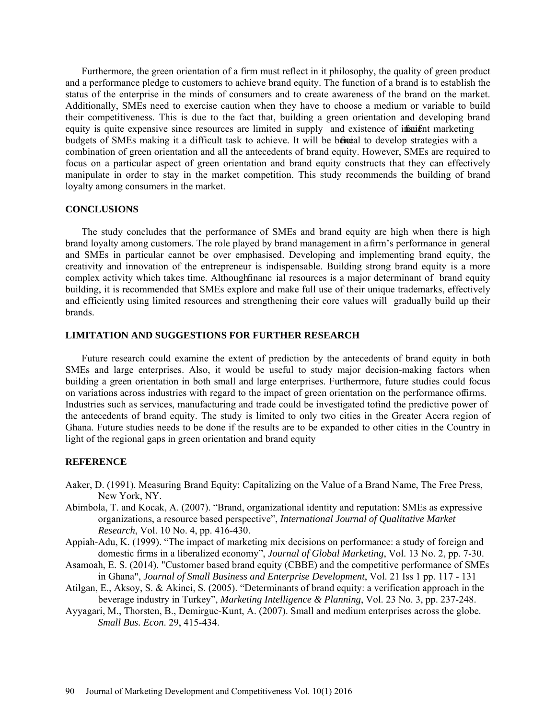Furthermore, the green orientation of a firm must reflect in it philosophy, the quality of green product and a performance pledge to customers to achieve brand equity. The function of a brand is to establish the status of the enterprise in the minds of consumers and to create awareness of the brand on the market. Additionally, SMEs need to exercise caution when they have to choose a medium or variable to build their competitiveness. This is due to the fact that, building a green orientation and developing brand equity is quite expensive since resources are limited in supply and existence of insuient marketing budgets of SMEs making it a difficult task to achieve. It will be beneficial to develop strategies with a combination of green orientation and all the antecedents of brand equity. However, SMEs are required to focus on a particular aspect of green orientation and brand equity constructs that they can effectively manipulate in order to stay in the market competition. This study recommends the building of brand loyalty among consumers in the market.

# **CONCLUSIONS**

The study concludes that the performance of SMEs and brand equity are high when there is high brand loyalty among customers. The role played by brand management in a firm's performance in general and SMEs in particular cannot be over emphasised. Developing and implementing brand equity, the creativity and innovation of the entrepreneur is indispensable. Building strong brand equity is a more complex activity which takes time. Although finance ial resources is a major determinant of brand equity building, it is recommended that SMEs explore and make full use of their unique trademarks, effectively and efficiently using limited resources and strengthening their core values will gradually build up their brands.

### **LIMITATION AND SUGGESTIONS FOR FURTHER RESEARCH**

Future research could examine the extent of prediction by the antecedents of brand equity in both SMEs and large enterprises. Also, it would be useful to study major decision-making factors when building a green orientation in both small and large enterprises. Furthermore, future studies could focus on variations across industries with regard to the impact of green orientation on the performance of firms. Industries such as services, manufacturing and trade could be investigated to find the predictive power of the antecedents of brand equity. The study is limited to only two cities in the Greater Accra region of Ghana. Future studies needs to be done if the results are to be expanded to other cities in the Country in light of the regional gaps in green orientation and brand equity

#### **REFERENCE**

- Aaker, D. (1991). Measuring Brand Equity: Capitalizing on the Value of a Brand Name, The Free Press, New York, NY.
- Abimbola, T. and Kocak, A. (2007). "Brand, organizational identity and reputation: SMEs as expressive organizations, a resource based perspective", *International Journal of Qualitative Market Research*, Vol. 10 No. 4, pp. 416-430.
- Appiah-Adu, K. (1999). "The impact of marketing mix decisions on performance: a study of foreign and domestic firms in a liberalized economy", *Journal of Global Marketing*, Vol. 13 No. 2, pp. 7-30.
- Asamoah, E. S. (2014). "Customer based brand equity (CBBE) and the competitive performance of SMEs in Ghana", *Journal of Small Business and Enterprise Development*, Vol. 21 Iss 1 pp. 117 - 131
- Atilgan, E., Aksoy, S. & Akinci, S. (2005). "Determinants of brand equity: a verification approach in the beverage industry in Turkey", *Marketing Intelligence & Planning*, Vol. 23 No. 3, pp. 237-248.
- Ayyagari, M., Thorsten, B., Demirguc-Kunt, A. (2007). Small and medium enterprises across the globe. *Small Bus. Econ*. 29, 415-434.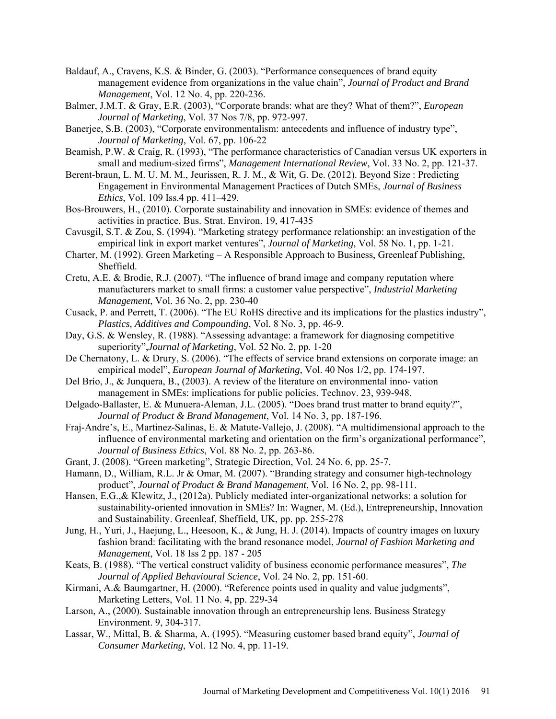- Baldauf, A., Cravens, K.S. & Binder, G. (2003). "Performance consequences of brand equity management evidence from organizations in the value chain", *Journal of Product and Brand Management*, Vol. 12 No. 4, pp. 220-236.
- Balmer, J.M.T. & Gray, E.R. (2003), "Corporate brands: what are they? What of them?", *European Journal of Marketing*, Vol. 37 Nos 7/8, pp. 972-997.
- Banerjee, S.B. (2003), "Corporate environmentalism: antecedents and influence of industry type", *Journal of Marketing*, Vol. 67, pp. 106-22
- Beamish, P.W. & Craig, R. (1993), "The performance characteristics of Canadian versus UK exporters in small and medium-sized firms", *Management International Review*, Vol. 33 No. 2, pp. 121-37.
- Berent-braun, L. M. U. M. M., Jeurissen, R. J. M., & Wit, G. De. (2012). Beyond Size : Predicting Engagement in Environmental Management Practices of Dutch SMEs, *Journal of Business Ethics*, Vol. 109 Iss.4 pp. 411–429.
- Bos-Brouwers, H., (2010). Corporate sustainability and innovation in SMEs: evidence of themes and activities in practice. Bus. Strat. Environ. 19, 417-435
- Cavusgil, S.T. & Zou, S. (1994). "Marketing strategy performance relationship: an investigation of the empirical link in export market ventures", *Journal of Marketing*, Vol. 58 No. 1, pp. 1-21.
- Charter, M. (1992). Green Marketing A Responsible Approach to Business, Greenleaf Publishing, Sheffield.
- Cretu, A.E. & Brodie, R.J. (2007). "The influence of brand image and company reputation where manufacturers market to small firms: a customer value perspective", *Industrial Marketing Management*, Vol. 36 No. 2, pp. 230-40
- Cusack, P. and Perrett, T. (2006). "The EU RoHS directive and its implications for the plastics industry", *Plastics, Additives and Compounding*, Vol. 8 No. 3, pp. 46-9.
- Day, G.S. & Wensley, R. (1988). "Assessing advantage: a framework for diagnosing competitive superiority",*Journal of Marketing*, Vol. 52 No. 2, pp. 1-20
- De Chernatony, L. & Drury, S. (2006). "The effects of service brand extensions on corporate image: an empirical model", *European Journal of Marketing*, Vol. 40 Nos 1/2, pp. 174-197.
- Del Brío, J., & Junquera, B., (2003). A review of the literature on environmental inno- vation management in SMEs: implications for public policies. Technov. 23, 939-948.
- Delgado-Ballaster, E. & Munuera-Aleman, J.L. (2005). "Does brand trust matter to brand equity?", *Journal of Product & Brand Management*, Vol. 14 No. 3, pp. 187-196.
- Fraj-Andre's, E., Martinez-Salinas, E. & Matute-Vallejo, J. (2008). "A multidimensional approach to the influence of environmental marketing and orientation on the firm's organizational performance", *Journal of Business Ethics*, Vol. 88 No. 2, pp. 263-86.
- Grant, J. (2008). "Green marketing", Strategic Direction, Vol. 24 No. 6, pp. 25-7.
- Hamann, D., William, R.L. Jr & Omar, M. (2007). "Branding strategy and consumer high-technology product", *Journal of Product & Brand Management*, Vol. 16 No. 2, pp. 98-111.
- Hansen, E.G.,& Klewitz, J., (2012a). Publicly mediated inter-organizational networks: a solution for sustainability-oriented innovation in SMEs? In: Wagner, M. (Ed.), Entrepreneurship, Innovation and Sustainability. Greenleaf, Sheffield, UK, pp. pp. 255-278
- Jung, H., Yuri, J., Haejung, L., Heesoon, K., & Jung, H. J. (2014). Impacts of country images on luxury fashion brand: facilitating with the brand resonance model, *Journal of Fashion Marketing and Management*, Vol. 18 Iss 2 pp. 187 - 205
- Keats, B. (1988). "The vertical construct validity of business economic performance measures", *The Journal of Applied Behavioural Science*, Vol. 24 No. 2, pp. 151-60.
- Kirmani, A.& Baumgartner, H. (2000). "Reference points used in quality and value judgments", Marketing Letters, Vol. 11 No. 4, pp. 229-34
- Larson, A., (2000). Sustainable innovation through an entrepreneurship lens. Business Strategy Environment. 9, 304-317.
- Lassar, W., Mittal, B. & Sharma, A. (1995). "Measuring customer based brand equity", *Journal of Consumer Marketing*, Vol. 12 No. 4, pp. 11-19.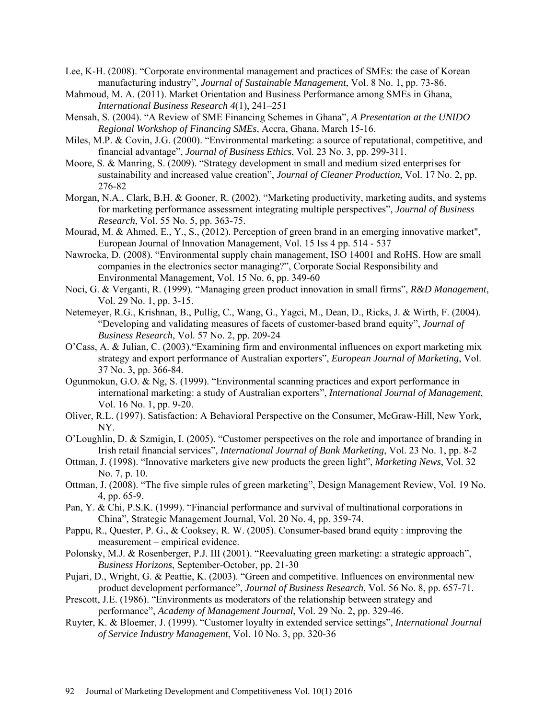- Lee, K-H. (2008). "Corporate environmental management and practices of SMEs: the case of Korean manufacturing industry", *Journal of Sustainable Management*, Vol. 8 No. 1, pp. 73-86.
- Mahmoud, M. A. (2011). Market Orientation and Business Performance among SMEs in Ghana, *International Business Research 4*(1), 241–251
- Mensah, S. (2004). "A Review of SME Financing Schemes in Ghana", *A Presentation at the UNIDO Regional Workshop of Financing SMEs*, Accra, Ghana, March 15-16.
- Miles, M.P. & Covin, J.G. (2000). "Environmental marketing: a source of reputational, competitive, and financial advantage", *Journal of Business Ethics*, Vol. 23 No. 3, pp. 299-311.
- Moore, S. & Manring, S. (2009). "Strategy development in small and medium sized enterprises for sustainability and increased value creation", *Journal of Cleaner Production*, Vol. 17 No. 2, pp. 276-82
- Morgan, N.A., Clark, B.H. & Gooner, R. (2002). "Marketing productivity, marketing audits, and systems for marketing performance assessment integrating multiple perspectives", *Journal of Business Research*, Vol. 55 No. 5, pp. 363-75.
- Mourad, M. & Ahmed, E., Y., S., (2012). Perception of green brand in an emerging innovative market", European Journal of Innovation Management, Vol. 15 Iss 4 pp. 514 - 537
- Nawrocka, D. (2008). "Environmental supply chain management, ISO 14001 and RoHS. How are small companies in the electronics sector managing?", Corporate Social Responsibility and Environmental Management, Vol. 15 No. 6, pp. 349-60
- Noci, G. & Verganti, R. (1999). "Managing green product innovation in small firms", *R&D Management*, Vol. 29 No. 1, pp. 3-15.
- Netemeyer, R.G., Krishnan, B., Pullig, C., Wang, G., Yagci, M., Dean, D., Ricks, J. & Wirth, F. (2004). "Developing and validating measures of facets of customer-based brand equity", *Journal of Business Research*, Vol. 57 No. 2, pp. 209-24
- O'Cass, A. & Julian, C. (2003)."Examining firm and environmental influences on export marketing mix strategy and export performance of Australian exporters", *European Journal of Marketing*, Vol. 37 No. 3, pp. 366-84.
- Ogunmokun, G.O. & Ng, S. (1999). "Environmental scanning practices and export performance in international marketing: a study of Australian exporters", *International Journal of Management*, Vol. 16 No. 1, pp. 9-20.
- Oliver, R.L. (1997). Satisfaction: A Behavioral Perspective on the Consumer, McGraw-Hill, New York, NY.
- O'Loughlin, D. & Szmigin, I. (2005). "Customer perspectives on the role and importance of branding in Irish retail financial services", *International Journal of Bank Marketing*, Vol. 23 No. 1, pp. 8-2
- Ottman, J. (1998). "Innovative marketers give new products the green light", *Marketing News*, Vol. 32 No. 7, p. 10.
- Ottman, J. (2008). "The five simple rules of green marketing", Design Management Review, Vol. 19 No. 4, pp. 65-9.
- Pan, Y. & Chi, P.S.K. (1999). "Financial performance and survival of multinational corporations in China", Strategic Management Journal, Vol. 20 No. 4, pp. 359-74.
- Pappu, R., Quester, P. G., & Cooksey, R. W. (2005). Consumer-based brand equity : improving the measurement – empirical evidence.
- Polonsky, M.J. & Rosenberger, P.J. III (2001). "Reevaluating green marketing: a strategic approach", *Business Horizons*, September-October, pp. 21-30
- Pujari, D., Wright, G. & Peattie, K. (2003). "Green and competitive. Influences on environmental new product development performance", *Journal of Business Research*, Vol. 56 No. 8, pp. 657-71.
- Prescott, J.E. (1986). "Environments as moderators of the relationship between strategy and performance", *Academy of Management Journal*, Vol. 29 No. 2, pp. 329-46.
- Ruyter, K. & Bloemer, J. (1999). "Customer loyalty in extended service settings", *International Journal of Service Industry Management*, Vol. 10 No. 3, pp. 320-36